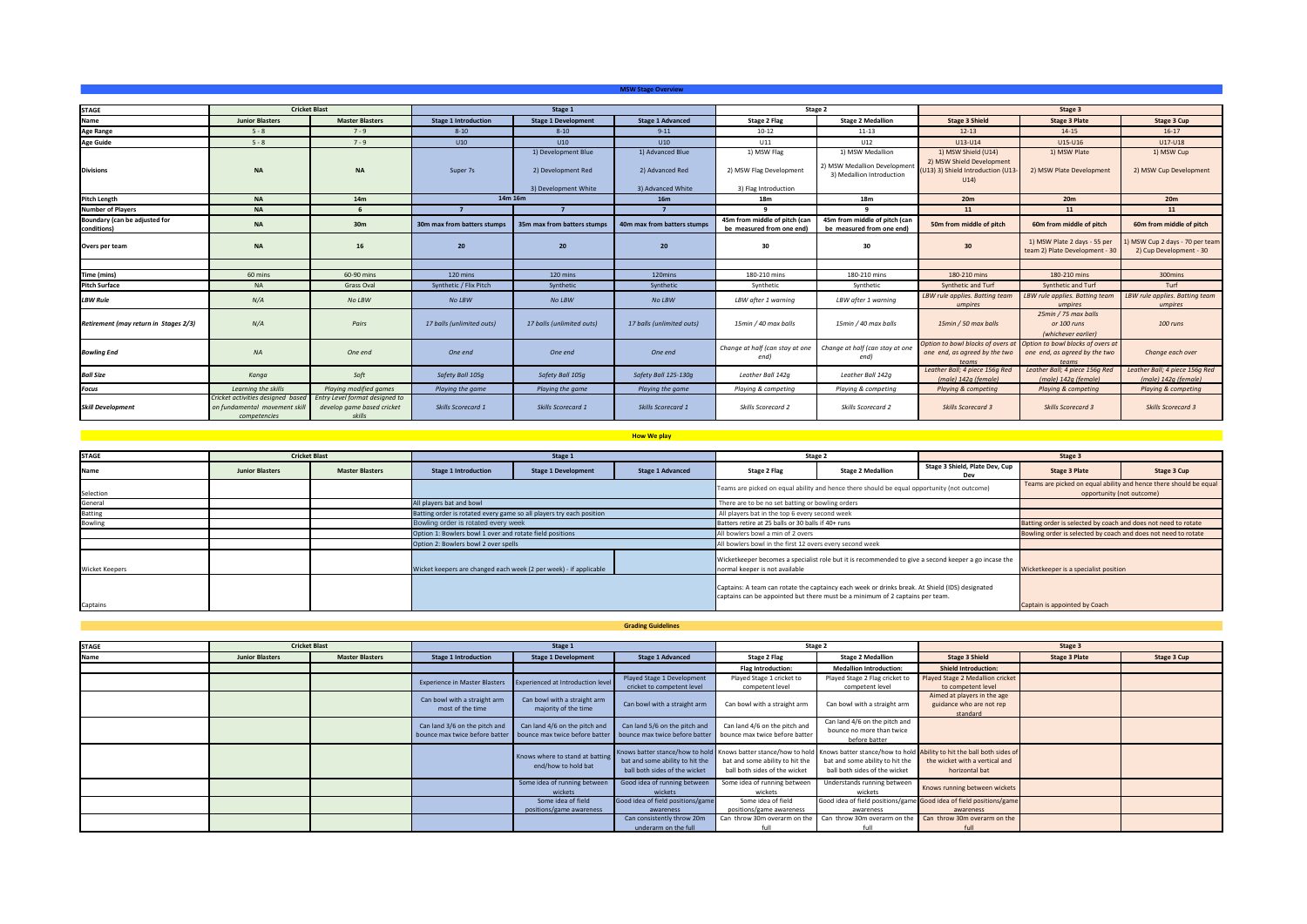|                                              |                                                                                    |                                                                        |                             |                                           | <b>MSW Stage Overview</b>           |                                                            |                                                                               |                                                                                               |                                                                             |                                                           |
|----------------------------------------------|------------------------------------------------------------------------------------|------------------------------------------------------------------------|-----------------------------|-------------------------------------------|-------------------------------------|------------------------------------------------------------|-------------------------------------------------------------------------------|-----------------------------------------------------------------------------------------------|-----------------------------------------------------------------------------|-----------------------------------------------------------|
|                                              |                                                                                    |                                                                        |                             |                                           |                                     |                                                            |                                                                               |                                                                                               |                                                                             |                                                           |
| <b>STAGE</b>                                 | <b>Cricket Blast</b>                                                               |                                                                        |                             | Stage 1                                   |                                     |                                                            | Stage 2                                                                       | Stage 3                                                                                       |                                                                             |                                                           |
| Name                                         | <b>Junior Blasters</b>                                                             | <b>Master Blasters</b>                                                 | <b>Stage 1 Introduction</b> | <b>Stage 1 Development</b>                | <b>Stage 1 Advanced</b>             | <b>Stage 2 Flag</b>                                        | <b>Stage 2 Medallion</b>                                                      | <b>Stage 3 Shield</b>                                                                         | <b>Stage 3 Plate</b>                                                        | Stage 3 Cup                                               |
| <b>Age Range</b>                             | $5 - 8$                                                                            | $7 - 9$                                                                | $8 - 10$                    | $8 - 10$                                  | $9 - 11$                            | $10 - 12$                                                  | $11 - 13$                                                                     | $12 - 13$                                                                                     | $14 - 15$                                                                   | $16-17$                                                   |
| <b>Age Guide</b>                             | $5 - 8$                                                                            | $7 - 9$                                                                | U10                         | U10                                       | U10                                 | U11                                                        | U12                                                                           | U13-U14                                                                                       | U15-U16                                                                     | U17-U18                                                   |
| <b>Divisions</b>                             | <b>NA</b>                                                                          | <b>NA</b>                                                              | Super 7s                    | 1) Development Blue<br>2) Development Red | 1) Advanced Blue<br>2) Advanced Red | 1) MSW Flag<br>2) MSW Flag Development                     | 1) MSW Medallion<br>2) MSW Medallion Development<br>3) Medallion Introduction | 1) MSW Shield (U14)<br>2) MSW Shield Development<br>(U13) 3) Shield Introduction (U13<br>U14) | 1) MSW Plate<br>2) MSW Plate Development                                    | 1) MSW Cup<br>2) MSW Cup Development                      |
|                                              |                                                                                    |                                                                        |                             | 3) Development White                      | 3) Advanced White                   | 3) Flag Introduction                                       |                                                                               |                                                                                               |                                                                             |                                                           |
| <b>Pitch Length</b>                          | <b>NA</b>                                                                          | 14m                                                                    |                             | 14m 16m                                   | 16m                                 | 18m                                                        | 18m                                                                           | 20m                                                                                           | 20 <sub>m</sub>                                                             | 20m                                                       |
| <b>Number of Players</b>                     | <b>NA</b>                                                                          |                                                                        |                             | - 7                                       |                                     |                                                            |                                                                               | 11                                                                                            | 11                                                                          | 11                                                        |
| Boundary (can be adjusted for<br>conditions) | <b>NA</b>                                                                          | 30 <sub>m</sub>                                                        | 30m max from batters stumps | 35m max from batters stumps               | 40m max from batters stumps         | 45m from middle of pitch (can<br>be measured from one end) | 45m from middle of pitch (can<br>be measured from one end)                    | 50m from middle of pitch                                                                      | 60m from middle of pitch                                                    | 60m from middle of pitch                                  |
| Overs per team                               | <b>NA</b>                                                                          | 16                                                                     | 20                          | 20                                        | 20                                  | 30                                                         | 30                                                                            | 30                                                                                            | 1) MSW Plate 2 days - 55 per<br>team 2) Plate Development - 30              | ) MSW Cup 2 days - 70 per team<br>2) Cup Development - 30 |
|                                              |                                                                                    |                                                                        |                             |                                           |                                     |                                                            |                                                                               |                                                                                               |                                                                             |                                                           |
| Time (mins)                                  | 60 mins                                                                            | 60-90 mins                                                             | 120 mins                    | 120 mins                                  | 120mins                             | 180-210 mins                                               | 180-210 mins                                                                  | 180-210 mins                                                                                  | 180-210 mins                                                                | 300mins                                                   |
| <b>Pitch Surface</b>                         | <b>NA</b>                                                                          | Grass Oval                                                             | Synthetic / Flix Pitch      | Synthetic                                 | Synthetic                           | Synthetic                                                  | Synthetic                                                                     | Synthetic and Turf                                                                            | Synthetic and Turf                                                          | Turf                                                      |
| <b>LBW Rule</b>                              | N/A                                                                                | No LBW                                                                 | No LBW                      | No LBW                                    | No LBW                              | LBW after 1 warning                                        | LBW after 1 warning                                                           | LBW rule applies. Batting team<br>umpires                                                     | LBW rule applies. Batting team<br>umpires                                   | LBW rule applies. Batting team<br>umpires                 |
| Retirement (may return in Stages 2/3)        | N/A                                                                                | Pairs                                                                  | 17 balls (unlimited outs)   | 17 balls (unlimited outs)                 | 17 balls (unlimited outs)           | 15min / 40 max balls                                       | 15min / 40 max balls                                                          | 15min / 50 max balls                                                                          | 25min / 75 max balls<br>or 100 runs<br>(whichever earlier)                  | 100 runs                                                  |
| <b>Bowling End</b>                           | NA                                                                                 | One end                                                                | One end                     | One end                                   | One end                             | Change at half (can stay at one<br>end)                    | Change at half (can stay at one<br>end)                                       | Option to bowl blocks of overs at<br>one end, as agreed by the two<br>teams                   | Option to bowl blocks of overs at<br>one end, as agreed by the two<br>teams | Change each over                                          |
| <b>Ball Size</b>                             | Kanga                                                                              | Soft                                                                   | Safety Ball 105q            | Safety Ball 105q                          | Safety Ball 125-130q                | Leather Ball 142q                                          | Leather Ball 142q                                                             | Leather Ball; 4 piece 156q Red<br>(male) 142q (female)                                        | Leather Ball; 4 piece 156q Red<br>(male) 142q (female)                      | Leather Ball; 4 piece 156g Red<br>(male) 142q (female)    |
| <b>Focus</b>                                 | Learning the skills                                                                | Playing modified games                                                 | Playing the game            | Playing the game                          | Playing the game                    | Playing & competing                                        | Playing & competing                                                           | Playing & competing                                                                           | Playing & competing                                                         | Playing & competing                                       |
| <b>Skill Development</b>                     | Cricket activities designed based<br>on fundamental movement skill<br>competencies | Entry Level format designed to<br>develop game based cricket<br>skills | Skills Scorecard 1          | Skills Scorecard 1                        | <b>Skills Scorecard 1</b>           | Skills Scorecard 2                                         | Skills Scorecard 2                                                            | <b>Skills Scorecard 3</b>                                                                     | <b>Skills Scorecard 3</b>                                                   | <b>Skills Scorecard 3</b>                                 |

## **How We play**

| <b>STAGE</b>          |                        | <b>Cricket Blast</b>   |                                                                      | Stage 1                    |                                                                                                                                                                                  |                                                                                             | Stage 2                  |                                       | Stage 3                                                                                        |             |  |
|-----------------------|------------------------|------------------------|----------------------------------------------------------------------|----------------------------|----------------------------------------------------------------------------------------------------------------------------------------------------------------------------------|---------------------------------------------------------------------------------------------|--------------------------|---------------------------------------|------------------------------------------------------------------------------------------------|-------------|--|
| Name                  | <b>Junior Blasters</b> | <b>Master Blasters</b> | <b>Stage 1 Introduction</b>                                          | <b>Stage 1 Development</b> | <b>Stage 1 Advanced</b>                                                                                                                                                          | Stage 2 Flag                                                                                | <b>Stage 2 Medallion</b> | Stage 3 Shield, Plate Dev, Cup        | <b>Stage 3 Plate</b>                                                                           | Stage 3 Cup |  |
| Selection             |                        |                        |                                                                      |                            |                                                                                                                                                                                  | Teams are picked on equal ability and hence there should be equal opportunity (not outcome) |                          |                                       | Teams are picked on equal ability and hence there should be equal<br>opportunity (not outcome) |             |  |
| General               |                        |                        | All players bat and bowl                                             |                            |                                                                                                                                                                                  | There are to be no set batting or bowling orders                                            |                          |                                       |                                                                                                |             |  |
| Batting               |                        |                        | Batting order is rotated every game so all players try each position |                            |                                                                                                                                                                                  | All players bat in the top 6 every second week                                              |                          |                                       |                                                                                                |             |  |
| Bowling               |                        |                        | Bowling order is rotated every week                                  |                            |                                                                                                                                                                                  | Batters retire at 25 balls or 30 balls if 40+ runs                                          |                          |                                       | Batting order is selected by coach and does not need to rotate                                 |             |  |
|                       |                        |                        | Option 1: Bowlers bowl 1 over and rotate field positions             |                            |                                                                                                                                                                                  | All bowlers bowl a min of 2 overs                                                           |                          |                                       | Bowling order is selected by coach and does not need to rotate                                 |             |  |
|                       |                        |                        | Option 2: Bowlers bowl 2 over spells                                 |                            | All bowlers bowl in the first 12 overs every second week                                                                                                                         |                                                                                             |                          |                                       |                                                                                                |             |  |
| <b>Wicket Keepers</b> |                        |                        | Wicket keepers are changed each week (2 per week) - if applicable    |                            | Wicketkeeper becomes a specialist role but it is recommended to give a second keeper a go incase the<br>normal keeper is not available                                           |                                                                                             |                          | Wicketkeeper is a specialist position |                                                                                                |             |  |
| Captains              |                        |                        |                                                                      |                            | Captains: A team can rotate the captaincy each week or drinks break. At Shield (IDS) designated<br>captains can be appointed but there must be a minimum of 2 captains per team. |                                                                                             |                          | Captain is appointed by Coach         |                                                                                                |             |  |

**Grading Guidelines**

| <b>STAGE</b> | <b>Cricket Blast</b>   |                        | Stage 1                                                         |                                                        |                                                                                                                                                                                                           | Stage 2                                                          |                                                                             | Stage 3                                                                          |                      |             |
|--------------|------------------------|------------------------|-----------------------------------------------------------------|--------------------------------------------------------|-----------------------------------------------------------------------------------------------------------------------------------------------------------------------------------------------------------|------------------------------------------------------------------|-----------------------------------------------------------------------------|----------------------------------------------------------------------------------|----------------------|-------------|
| Name         | <b>Junior Blasters</b> | <b>Master Blasters</b> | <b>Stage 1 Introduction</b>                                     | <b>Stage 1 Development</b>                             | <b>Stage 1 Advanced</b>                                                                                                                                                                                   | Stage 2 Flag                                                     | <b>Stage 2 Medallion</b>                                                    | <b>Stage 3 Shield</b>                                                            | <b>Stage 3 Plate</b> | Stage 3 Cup |
|              |                        |                        |                                                                 |                                                        |                                                                                                                                                                                                           | Flag Introduction:                                               | <b>Medallion Introduction:</b>                                              | <b>Shield Introduction:</b>                                                      |                      |             |
|              |                        |                        | <b>Experience in Master Blasters</b>                            | <b>Experienced at Introduction level</b>               | Played Stage 1 Development<br>cricket to competent level                                                                                                                                                  | Played Stage 1 cricket to<br>competent level                     | Played Stage 2 Flag cricket to<br>competent level                           | Played Stage 2 Medallion cricket<br>to competent level                           |                      |             |
|              |                        |                        | Can bowl with a straight arm<br>most of the time                | Can bowl with a straight arm<br>majority of the time   | Can bowl with a straight arm                                                                                                                                                                              | Can bowl with a straight arm                                     | Can bowl with a straight arm                                                | Aimed at players in the age<br>guidance who are not rep<br>standard              |                      |             |
|              |                        |                        | Can land 3/6 on the pitch and<br>bounce max twice before batter | Can land 4/6 on the pitch and                          | Can land 5/6 on the pitch and<br>bounce max twice before batter bounce max twice before batter                                                                                                            | Can land 4/6 on the pitch and<br>bounce max twice before batter  | Can land 4/6 on the pitch and<br>bounce no more than twice<br>before batter |                                                                                  |                      |             |
|              |                        |                        |                                                                 | Knows where to stand at batting<br>end/how to hold bat | Knows batter stance/how to hold Knows batter stance/how to hold Knows batter stance/how to hold Ability to hit the ball both sides of<br>bat and some ability to hit the<br>ball both sides of the wicket | bat and some ability to hit the<br>ball both sides of the wicket | bat and some ability to hit the<br>ball both sides of the wicket            | the wicket with a vertical and<br>horizontal bat                                 |                      |             |
|              |                        |                        |                                                                 | Some idea of running between<br>wickets                | Good idea of running between<br>wickets                                                                                                                                                                   | Some idea of running between<br>wickets                          | Understands running between<br>wickets                                      | Knows running between wickets                                                    |                      |             |
|              |                        |                        |                                                                 | Some idea of field<br>positions/game awareness         | Good idea of field positions/game<br>awareness                                                                                                                                                            | Some idea of field<br>positions/game awareness                   | awareness                                                                   | Good idea of field positions/game Good idea of field positions/game<br>awareness |                      |             |
|              |                        |                        |                                                                 |                                                        | Can consistently throw 20m<br>underarm on the full                                                                                                                                                        | Can throw 30m overarm on the                                     | Can throw 30m overarm on the Can throw 30m overarm on the                   | full                                                                             |                      |             |